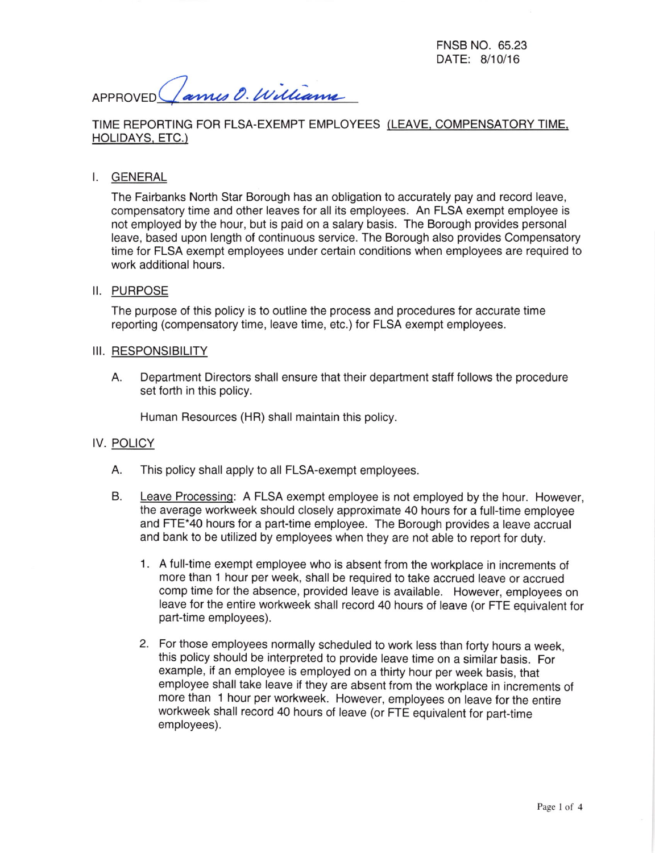FNSB NO. 65.23 DATE: 8/10/16

APPROVED Cames O. Williams

## TIME REPORTING FOR FLSA-EXEMPT EMPLOYEES (LEAVE, COMPENSATORY TIME, HOLIDAYS, ETC.)

### I. GENERAL

The Fairbanks North Star Borough has an obligation to accurately pay and record leave, compensatory time and other leaves for all its employees. An FLSA exempt employee is not employed by the hour, but is paid on a salary basis. The Borough provides personal leave, based upon length of continuous service. The Borough also provides Compensatory time for FLSA exempt employees under certain conditions when employees are required to work additional hours.

### II. PURPOSE

The purpose of this policy is to outline the process and procedures for accurate time reporting (compensatory time, leave time, etc.) for FLSA exempt employees.

#### III. RESPONSIBILITY

A. Department Directors shall ensure that their department staff follows the procedure set forth in this policy.

Human Resources (HR) shall maintain this policy.

## IV. POLICY

- A. This policy shall apply to all FLsA-exempt employees.
- B. Leave Processing: A FLSA exempt employee is not employed by the hour. However, the average workweek should closely approximate 40 hours for a full-time employee and FTE\*40 hours for a part-time employee. The Borough provides a leave accrual and bank to be utilized by employees when they are not able to report for duty.
	- 1. A full-time exempt employee who is absent from the workplace in increments of more than 1 hour per week, shall be required to take accrued leave or accrued comp time for the absence, provided leave is available. However, employees on leave for the entire workweek shall record 40 hours of leave (or FTE equivalent for part-time employees).
	- 2. For those employees normally scheduled to work less than forty hours a week, this policy should be interpreted to provide leave time on a similar basis. For example, if an employee is employed on a thirty hour per week basis, that employee shall take leave if they are absent from the workplace in increments of more than 1 hour per workweek. However, employees on leave for the entire workweek shall record 40 hours of leave (or FTE equivalent for part-time employees).